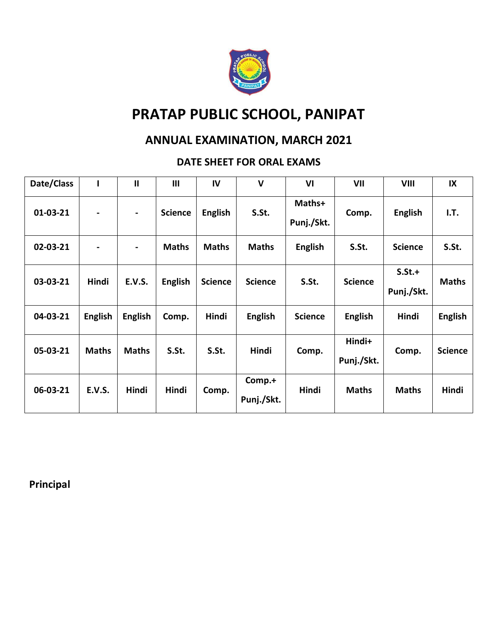

## **ANNUAL EXAMINATION, MARCH 2021**

## **DATE SHEET FOR ORAL EXAMS**

| Date/Class | ı                            | $\mathbf{II}$  | III            | IV             | V                    | VI                   | VII                  | VIII                     | IX             |
|------------|------------------------------|----------------|----------------|----------------|----------------------|----------------------|----------------------|--------------------------|----------------|
| $01-03-21$ | $\qquad \qquad \blacksquare$ | $\blacksquare$ | <b>Science</b> | <b>English</b> | S.St.                | Maths+<br>Punj./Skt. | Comp.                | <b>English</b>           | I.T.           |
| 02-03-21   | -                            | $\blacksquare$ | <b>Maths</b>   | <b>Maths</b>   | <b>Maths</b>         | <b>English</b>       | S.St.                | <b>Science</b>           | S.St.          |
| 03-03-21   | Hindi                        | <b>E.V.S.</b>  | <b>English</b> | <b>Science</b> | <b>Science</b>       | S.St.                | <b>Science</b>       | $S.S.t. +$<br>Punj./Skt. | <b>Maths</b>   |
| 04-03-21   | <b>English</b>               | <b>English</b> | Comp.          | Hindi          | <b>English</b>       | <b>Science</b>       | <b>English</b>       | Hindi                    | <b>English</b> |
| 05-03-21   | <b>Maths</b>                 | <b>Maths</b>   | S.St.          | S.St.          | <b>Hindi</b>         | Comp.                | Hindi+<br>Punj./Skt. | Comp.                    | <b>Science</b> |
| 06-03-21   | <b>E.V.S.</b>                | <b>Hindi</b>   | Hindi          | Comp.          | Comp.+<br>Punj./Skt. | Hindi                | <b>Maths</b>         | <b>Maths</b>             | Hindi          |

**Principal**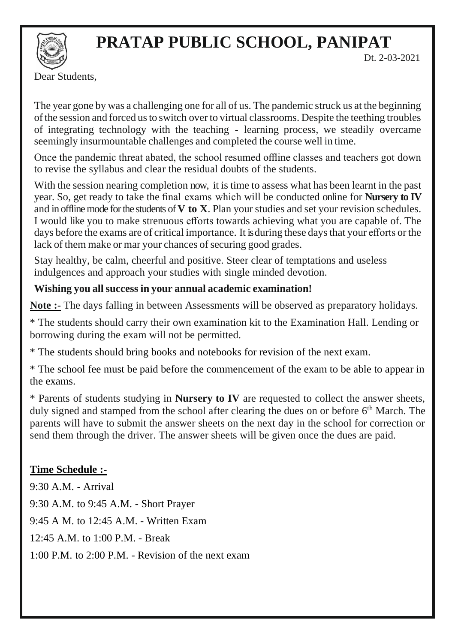

Dt. 2-03-2021

Dear Students,

The year gone by was a challenging one for all of us. The pandemic struck us at the beginning ofthe session and forced usto switch over to virtual classrooms. Despite the teething troubles of integrating technology with the teaching - learning process, we steadily overcame seemingly insurmountable challenges and completed the course well in time.

Once the pandemic threat abated, the school resumed offline classes and teachers got down to revise the syllabus and clear the residual doubts of the students.

With the session nearing completion now, it is time to assess what has been learnt in the past year. So, get ready to take the final exams which will be conducted online for **Nursery to IV**  and in offline mode for the students of **V** to **X**. Plan your studies and set your revision schedules. I would like you to make strenuous efforts towards achieving what you are capable of. The days before the exams are of critical importance. It is during these daysthat your efforts or the lack of them make or mar your chances of securing good grades.

Stay healthy, be calm, cheerful and positive. Steer clear of temptations and useless indulgences and approach your studies with single minded devotion.

## **Wishing you allsuccess in your annual academic examination!**

**Note :-** The days falling in between Assessments will be observed as preparatory holidays.

\* The students should carry their own examination kit to the Examination Hall. Lending or borrowing during the exam will not be permitted.

\* The students should bring books and notebooks for revision of the next exam.

\* The school fee must be paid before the commencement of the exam to be able to appear in the exams.

\* Parents of students studying in **Nursery to IV** are requested to collect the answer sheets, duly signed and stamped from the school after clearing the dues on or before 6<sup>th</sup> March. The parents will have to submit the answer sheets on the next day in the school for correction or send them through the driver. The answer sheets will be given once the dues are paid.

## **Time Schedule :-**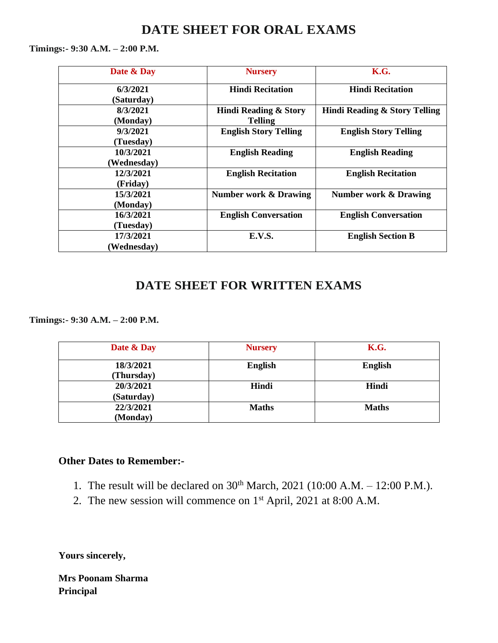## **DATE SHEET FOR ORAL EXAMS**

**Timings:- 9:30 A.M. – 2:00 P.M.**

| Date & Day  | <b>Nursery</b>                   | K.G.                             |  |
|-------------|----------------------------------|----------------------------------|--|
| 6/3/2021    | <b>Hindi Recitation</b>          | <b>Hindi Recitation</b>          |  |
| (Saturday)  |                                  |                                  |  |
| 8/3/2021    | Hindi Reading & Story            | Hindi Reading & Story Telling    |  |
| (Monday)    | <b>Telling</b>                   |                                  |  |
| 9/3/2021    | <b>English Story Telling</b>     | <b>English Story Telling</b>     |  |
| (Tuesday)   |                                  |                                  |  |
| 10/3/2021   | <b>English Reading</b>           | <b>English Reading</b>           |  |
| (Wednesday) |                                  |                                  |  |
| 12/3/2021   | <b>English Recitation</b>        | <b>English Recitation</b>        |  |
| (Friday)    |                                  |                                  |  |
| 15/3/2021   | <b>Number work &amp; Drawing</b> | <b>Number work &amp; Drawing</b> |  |
| (Monday)    |                                  |                                  |  |
| 16/3/2021   | <b>English Conversation</b>      | <b>English Conversation</b>      |  |
| (Tuesday)   |                                  |                                  |  |
| 17/3/2021   | E.V.S.                           | <b>English Section B</b>         |  |
| Wednesday)  |                                  |                                  |  |

## **DATE SHEET FOR WRITTEN EXAMS**

**Timings:- 9:30 A.M. – 2:00 P.M.**

| Date & Day              | <b>Nursery</b> | K.G.           |
|-------------------------|----------------|----------------|
| 18/3/2021<br>(Thursday) | <b>English</b> | <b>English</b> |
| 20/3/2021<br>(Saturday) | Hindi          | Hindi          |
| 22/3/2021<br>(Monday)   | <b>Maths</b>   | <b>Maths</b>   |

#### **Other Dates to Remember:-**

- 1. The result will be declared on  $30^{th}$  March,  $2021$  (10:00 A.M. 12:00 P.M.).
- 2. The new session will commence on 1<sup>st</sup> April, 2021 at 8:00 A.M.

**Yours sincerely,**

**Mrs Poonam Sharma Principal**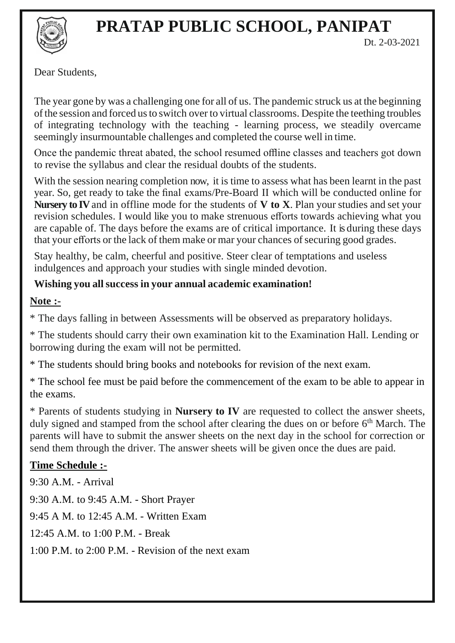

Dt. 2-03-2021

Dear Students,

The year gone by was a challenging one for all of us. The pandemic struck us at the beginning ofthe session and forced usto switch over to virtual classrooms. Despite the teething troubles of integrating technology with the teaching - learning process, we steadily overcame seemingly insurmountable challenges and completed the course well in time.

Once the pandemic threat abated, the school resumed offline classes and teachers got down to revise the syllabus and clear the residual doubts of the students.

With the session nearing completion now, it is time to assess what has been learnt in the past year. So, get ready to take the final exams/Pre-Board II which will be conducted online for **Nursery to IV** and in offline mode for the students of **V to X**. Plan your studies and set your revision schedules. I would like you to make strenuous efforts towards achieving what you are capable of. The days before the exams are of critical importance. It is during these days that your efforts or the lack of them make or mar your chances of securing good grades.

Stay healthy, be calm, cheerful and positive. Steer clear of temptations and useless indulgences and approach your studies with single minded devotion.

## **Wishing you allsuccess in your annual academic examination!**

### **Note :-**

\* The days falling in between Assessments will be observed as preparatory holidays.

\* The students should carry their own examination kit to the Examination Hall. Lending or borrowing during the exam will not be permitted.

\* The students should bring books and notebooks for revision of the next exam.

\* The school fee must be paid before the commencement of the exam to be able to appear in the exams.

\* Parents of students studying in **Nursery to IV** are requested to collect the answer sheets, duly signed and stamped from the school after clearing the dues on or before 6<sup>th</sup> March. The parents will have to submit the answer sheets on the next day in the school for correction or send them through the driver. The answer sheets will be given once the dues are paid.

## **Time Schedule :-**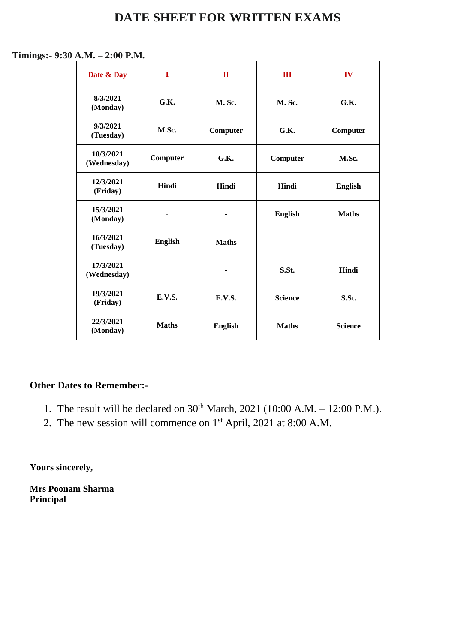## **DATE SHEET FOR WRITTEN EXAMS**

#### **Timings:- 9:30 A.M. – 2:00 P.M.**

| Date & Day                            | 1              | $\mathbf{I}$   | Ш              | IV             |
|---------------------------------------|----------------|----------------|----------------|----------------|
| 8/3/2021<br>(Monday)                  | G.K.           | <b>M. Sc.</b>  | M. Sc.         | G.K.           |
| 9/3/2021<br>(Tuesday)                 | M.Sc.          | Computer       | G.K.           | Computer       |
| 10/3/2021<br>(Wednesday)              | Computer       | G.K.           | Computer       | M.Sc.          |
| 12/3/2021<br>(Friday)                 | Hindi          | Hindi          | Hindi          | <b>English</b> |
| 15/3/2021<br>(Monday)                 | ۰              |                | <b>English</b> | <b>Maths</b>   |
| 16/3/2021<br>(Tuesday)                | <b>English</b> | <b>Maths</b>   |                |                |
| 17/3/2021<br>(Wednesday)              | -              |                | S.St.          | Hindi          |
| 19/3/2021<br>(Friday)                 | <b>E.V.S.</b>  | <b>E.V.S.</b>  | <b>Science</b> | S.St.          |
| 22/3/2021<br><b>Maths</b><br>(Monday) |                | <b>English</b> | <b>Maths</b>   | <b>Science</b> |

#### **Other Dates to Remember:-**

- 1. The result will be declared on  $30^{th}$  March,  $2021$  (10:00 A.M. 12:00 P.M.).
- 2. The new session will commence on 1st April, 2021 at 8:00 A.M.

**Yours sincerely,**

**Mrs Poonam Sharma Principal**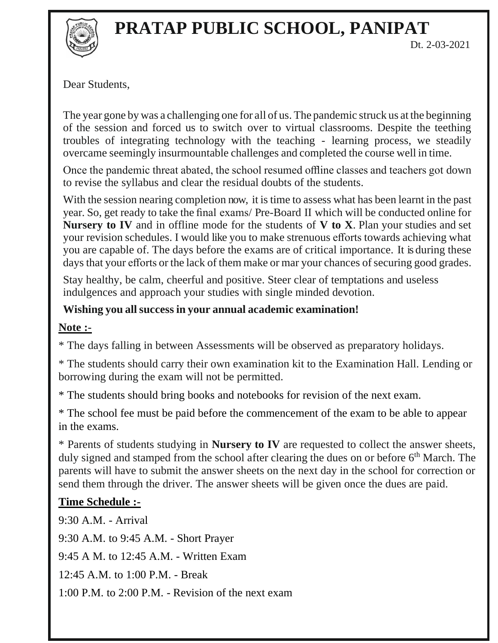

Dear Students,

The year gone by was a challenging one for all of us. The pandemic struck us at the beginning of the session and forced us to switch over to virtual classrooms. Despite the teething troubles of integrating technology with the teaching - learning process, we steadily overcame seemingly insurmountable challenges and completed the course well in time.

Once the pandemic threat abated, the school resumed offline classes and teachers got down to revise the syllabus and clear the residual doubts of the students.

With the session nearing completion now, it is time to assess what has been learnt in the past year. So, get ready to take the final exams/ Pre-Board II which will be conducted online for **Nursery to IV** and in offline mode for the students of **V to X**. Plan your studies and set your revision schedules. I would like you to make strenuous efforts towards achieving what you are capable of. The days before the exams are of critical importance. It is during these days that your efforts or the lack of them make or mar your chances of securing good grades.

Stay healthy, be calm, cheerful and positive. Steer clear of temptations and useless indulgences and approach your studies with single minded devotion.

## **Wishing you allsuccess in your annual academic examination!**

### **Note :-**

\* The days falling in between Assessments will be observed as preparatory holidays.

\* The students should carry their own examination kit to the Examination Hall. Lending or borrowing during the exam will not be permitted.

\* The students should bring books and notebooks for revision of the next exam.

\* The school fee must be paid before the commencement of the exam to be able to appear in the exams.

\* Parents of students studying in **Nursery to IV** are requested to collect the answer sheets, duly signed and stamped from the school after clearing the dues on or before 6<sup>th</sup> March. The parents will have to submit the answer sheets on the next day in the school for correction or send them through the driver. The answer sheets will be given once the dues are paid.

## **Time Schedule :-**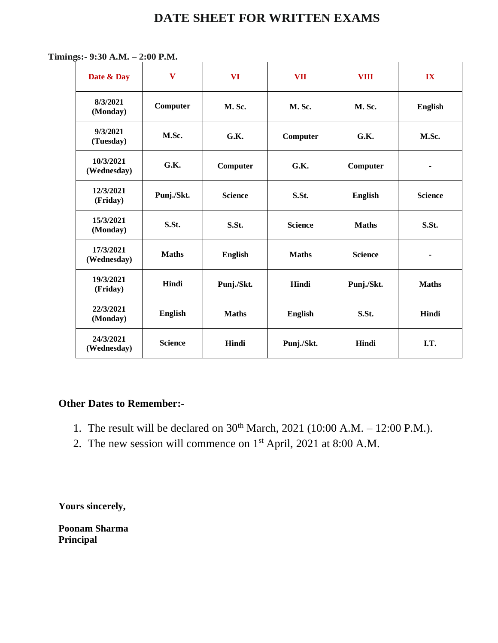## **DATE SHEET FOR WRITTEN EXAMS**

 **Timings:- 9:30 A.M. – 2:00 P.M.**

| Date & Day               | $\mathbf{V}$   | <b>VI</b>      | <b>VII</b>     | <b>VIII</b>    | IX             |
|--------------------------|----------------|----------------|----------------|----------------|----------------|
| 8/3/2021<br>(Monday)     | Computer       | <b>M. Sc.</b>  | <b>M. Sc.</b>  | <b>M. Sc.</b>  | <b>English</b> |
| 9/3/2021<br>(Tuesday)    | M.Sc.          | G.K.           | Computer       | G.K.           | M.Sc.          |
| 10/3/2021<br>(Wednesday) | G.K.           | Computer       | G.K.           | Computer       | ۰              |
| 12/3/2021<br>(Friday)    | Punj./Skt.     | <b>Science</b> | S.St.          | <b>English</b> | <b>Science</b> |
| 15/3/2021<br>(Monday)    | S.St.          | S.St.          | <b>Science</b> | <b>Maths</b>   | S.St.          |
| 17/3/2021<br>(Wednesday) | <b>Maths</b>   | <b>English</b> | <b>Maths</b>   | <b>Science</b> | ۰              |
| 19/3/2021<br>(Friday)    | Hindi          | Punj./Skt.     | Hindi          | Punj./Skt.     | <b>Maths</b>   |
| 22/3/2021<br>(Monday)    | <b>English</b> | <b>Maths</b>   | <b>English</b> | S.St.          | Hindi          |
| 24/3/2021<br>(Wednesday) | <b>Science</b> | Hindi          | Punj./Skt.     | Hindi          | I.T.           |

### **Other Dates to Remember:-**

- 1. The result will be declared on  $30^{th}$  March,  $2021$  (10:00 A.M. 12:00 P.M.).
- 2. The new session will commence on 1st April, 2021 at 8:00 A.M.

**Yours sincerely,**

**Poonam Sharma Principal**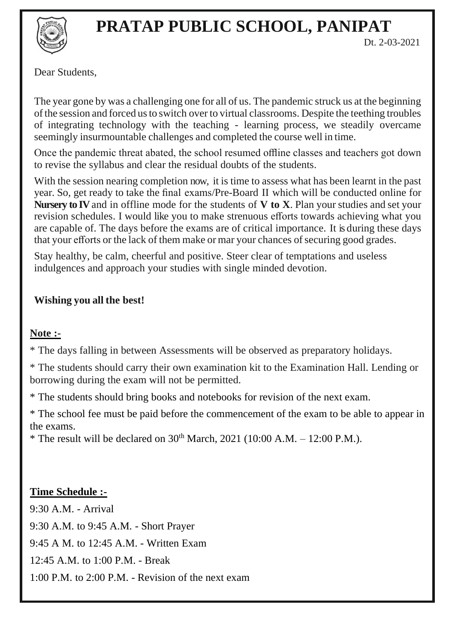

Dt. 2-03-2021

Dear Students,

The year gone by was a challenging one for all of us. The pandemic struck us at the beginning ofthe session and forced usto switch over to virtual classrooms. Despite the teething troubles of integrating technology with the teaching - learning process, we steadily overcame seemingly insurmountable challenges and completed the course well in time.

Once the pandemic threat abated, the school resumed offline classes and teachers got down to revise the syllabus and clear the residual doubts of the students.

With the session nearing completion now, it is time to assess what has been learnt in the past year. So, get ready to take the final exams/Pre-Board II which will be conducted online for **Nursery to IV** and in offline mode for the students of **V to X**. Plan your studies and set your revision schedules. I would like you to make strenuous efforts towards achieving what you are capable of. The days before the exams are of critical importance. It is during these days that your efforts or the lack of them make or mar your chances of securing good grades.

Stay healthy, be calm, cheerful and positive. Steer clear of temptations and useless indulgences and approach your studies with single minded devotion.

## **Wishing you all the best!**

## **Note :-**

\* The days falling in between Assessments will be observed as preparatory holidays.

\* The students should carry their own examination kit to the Examination Hall. Lending or borrowing during the exam will not be permitted.

\* The students should bring books and notebooks for revision of the next exam.

\* The school fee must be paid before the commencement of the exam to be able to appear in the exams.

\* The result will be declared on  $30^{th}$  March, 2021 (10:00 A.M. – 12:00 P.M.).

## **Time Schedule :-**